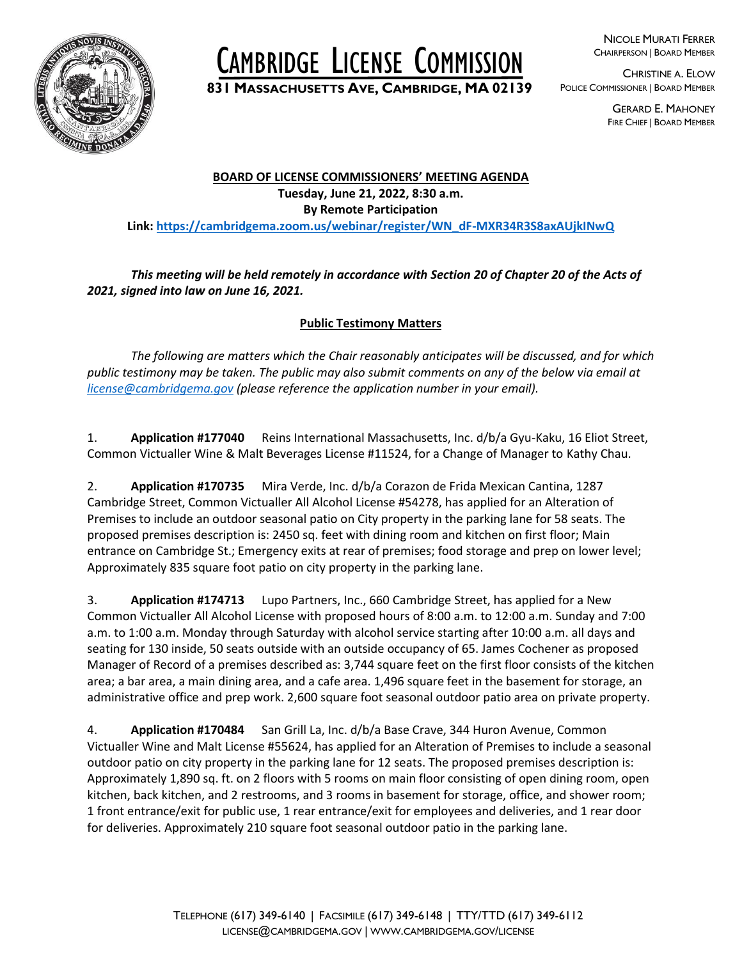

# CAMBRIDGE LICENSE COMMISSION

**<sup>831</sup> <sup>M</sup>ASSACHUSETTS AVE, <sup>C</sup>AMBRIDGE, MA <sup>02139</sup>**

NICOLE MURATI FERRER CHAIRPERSON | BOARD MEMBER

CHRISTINE A. ELOW POLICE COMMISSIONER | BOARD MEMBER

> GERARD E. MAHONEY FIRE CHIEF | BOARD MEMBER

### **BOARD OF LICENSE COMMISSIONERS' MEETING AGENDA Tuesday, June 21, 2022, 8:30 a.m. By Remote Participation Link: [https://cambridgema.zoom.us/webinar/register/WN\\_dF-MXR34R3S8axAUjkINwQ](https://cambridgema.zoom.us/webinar/register/WN_dF-MXR34R3S8axAUjkINwQ)**

## *This meeting will be held remotely in accordance with Section 20 of Chapter 20 of the Acts of 2021, signed into law on June 16, 2021.*

# **Public Testimony Matters**

*The following are matters which the Chair reasonably anticipates will be discussed, and for which public testimony may be taken. The public may also submit comments on any of the below via email at [license@cambridgema.gov](mailto:license@cambridgema.gov) (please reference the application number in your email).*

1. **Application #177040** Reins International Massachusetts, Inc. d/b/a Gyu-Kaku, 16 Eliot Street, Common Victualler Wine & Malt Beverages License #11524, for a Change of Manager to Kathy Chau.

2. **Application #170735** Mira Verde, Inc. d/b/a Corazon de Frida Mexican Cantina, 1287 Cambridge Street, Common Victualler All Alcohol License #54278, has applied for an Alteration of Premises to include an outdoor seasonal patio on City property in the parking lane for 58 seats. The proposed premises description is: 2450 sq. feet with dining room and kitchen on first floor; Main entrance on Cambridge St.; Emergency exits at rear of premises; food storage and prep on lower level; Approximately 835 square foot patio on city property in the parking lane.

3. **Application #174713** Lupo Partners, Inc., 660 Cambridge Street, has applied for a New Common Victualler All Alcohol License with proposed hours of 8:00 a.m. to 12:00 a.m. Sunday and 7:00 a.m. to 1:00 a.m. Monday through Saturday with alcohol service starting after 10:00 a.m. all days and seating for 130 inside, 50 seats outside with an outside occupancy of 65. James Cochener as proposed Manager of Record of a premises described as: 3,744 square feet on the first floor consists of the kitchen area; a bar area, a main dining area, and a cafe area. 1,496 square feet in the basement for storage, an administrative office and prep work. 2,600 square foot seasonal outdoor patio area on private property.

4. **Application #170484** San Grill La, Inc. d/b/a Base Crave, 344 Huron Avenue, Common Victualler Wine and Malt License #55624, has applied for an Alteration of Premises to include a seasonal outdoor patio on city property in the parking lane for 12 seats. The proposed premises description is: Approximately 1,890 sq. ft. on 2 floors with 5 rooms on main floor consisting of open dining room, open kitchen, back kitchen, and 2 restrooms, and 3 rooms in basement for storage, office, and shower room; 1 front entrance/exit for public use, 1 rear entrance/exit for employees and deliveries, and 1 rear door for deliveries. Approximately 210 square foot seasonal outdoor patio in the parking lane.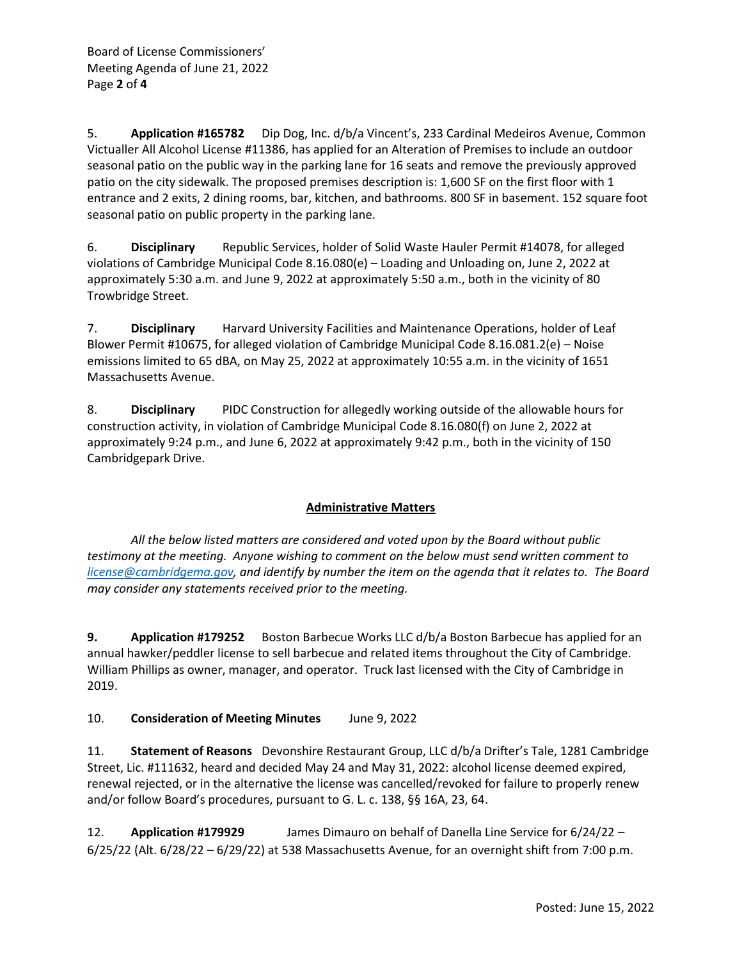5. **Application #165782** Dip Dog, Inc. d/b/a Vincent's, 233 Cardinal Medeiros Avenue, Common Victualler All Alcohol License #11386, has applied for an Alteration of Premises to include an outdoor seasonal patio on the public way in the parking lane for 16 seats and remove the previously approved patio on the city sidewalk. The proposed premises description is: 1,600 SF on the first floor with 1 entrance and 2 exits, 2 dining rooms, bar, kitchen, and bathrooms. 800 SF in basement. 152 square foot seasonal patio on public property in the parking lane.

6. **Disciplinary** Republic Services, holder of Solid Waste Hauler Permit #14078, for alleged violations of Cambridge Municipal Code 8.16.080(e) – Loading and Unloading on, June 2, 2022 at approximately 5:30 a.m. and June 9, 2022 at approximately 5:50 a.m., both in the vicinity of 80 Trowbridge Street.

7. **Disciplinary** Harvard University Facilities and Maintenance Operations, holder of Leaf Blower Permit #10675, for alleged violation of Cambridge Municipal Code 8.16.081.2(e) – Noise emissions limited to 65 dBA, on May 25, 2022 at approximately 10:55 a.m. in the vicinity of 1651 Massachusetts Avenue.

8. **Disciplinary** PIDC Construction for allegedly working outside of the allowable hours for construction activity, in violation of Cambridge Municipal Code 8.16.080(f) on June 2, 2022 at approximately 9:24 p.m., and June 6, 2022 at approximately 9:42 p.m., both in the vicinity of 150 Cambridgepark Drive.

## **Administrative Matters**

*All the below listed matters are considered and voted upon by the Board without public testimony at the meeting. Anyone wishing to comment on the below must send written comment to [license@cambridgema.gov,](mailto:license@cambridgema.gov) and identify by number the item on the agenda that it relates to. The Board may consider any statements received prior to the meeting.*

**9. Application #179252** Boston Barbecue Works LLC d/b/a Boston Barbecue has applied for an annual hawker/peddler license to sell barbecue and related items throughout the City of Cambridge. William Phillips as owner, manager, and operator. Truck last licensed with the City of Cambridge in 2019.

10. **Consideration of Meeting Minutes** June 9, 2022

11. **Statement of Reasons** Devonshire Restaurant Group, LLC d/b/a Drifter's Tale, 1281 Cambridge Street, Lic. #111632, heard and decided May 24 and May 31, 2022: alcohol license deemed expired, renewal rejected, or in the alternative the license was cancelled/revoked for failure to properly renew and/or follow Board's procedures, pursuant to G. L. c. 138, §§ 16A, 23, 64.

12. **Application #179929** James Dimauro on behalf of Danella Line Service for 6/24/22 – 6/25/22 (Alt. 6/28/22 – 6/29/22) at 538 Massachusetts Avenue, for an overnight shift from 7:00 p.m.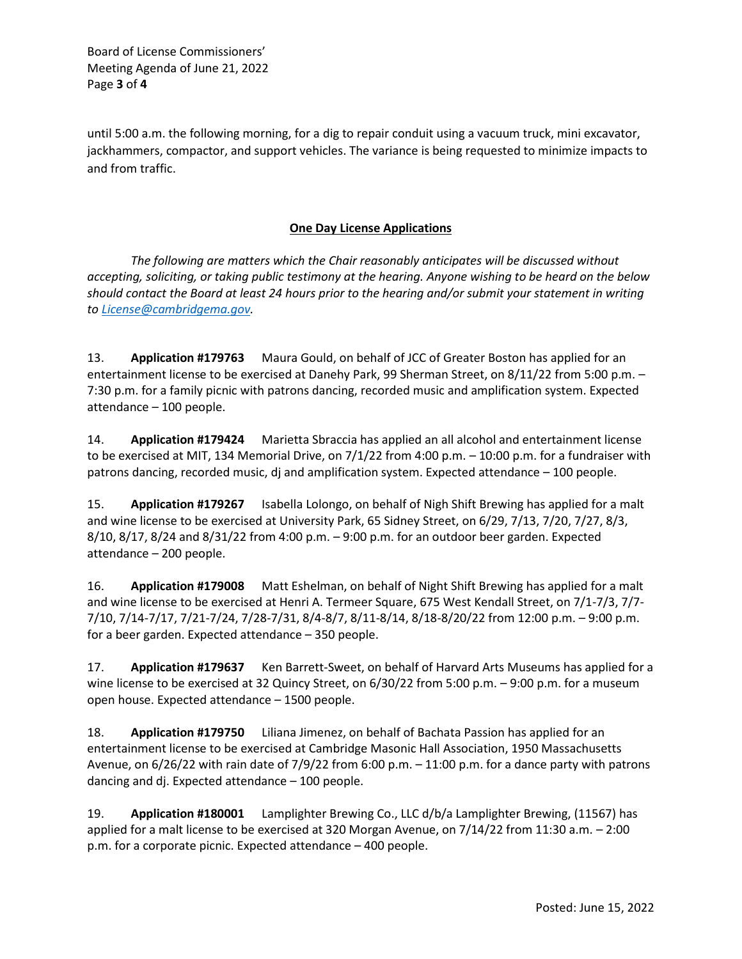Board of License Commissioners' Meeting Agenda of June 21, 2022 Page **3** of **4**

until 5:00 a.m. the following morning, for a dig to repair conduit using a vacuum truck, mini excavator, jackhammers, compactor, and support vehicles. The variance is being requested to minimize impacts to and from traffic.

### **One Day License Applications**

*The following are matters which the Chair reasonably anticipates will be discussed without accepting, soliciting, or taking public testimony at the hearing. Anyone wishing to be heard on the below should contact the Board at least 24 hours prior to the hearing and/or submit your statement in writing to [License@cambridgema.gov.](mailto:License@cambridgema.gov)*

13. **Application #179763** Maura Gould, on behalf of JCC of Greater Boston has applied for an entertainment license to be exercised at Danehy Park, 99 Sherman Street, on 8/11/22 from 5:00 p.m. – 7:30 p.m. for a family picnic with patrons dancing, recorded music and amplification system. Expected attendance – 100 people.

14. **Application #179424** Marietta Sbraccia has applied an all alcohol and entertainment license to be exercised at MIT, 134 Memorial Drive, on 7/1/22 from 4:00 p.m. – 10:00 p.m. for a fundraiser with patrons dancing, recorded music, dj and amplification system. Expected attendance – 100 people.

15. **Application #179267** Isabella Lolongo, on behalf of Nigh Shift Brewing has applied for a malt and wine license to be exercised at University Park, 65 Sidney Street, on 6/29, 7/13, 7/20, 7/27, 8/3, 8/10, 8/17, 8/24 and 8/31/22 from 4:00 p.m. – 9:00 p.m. for an outdoor beer garden. Expected attendance – 200 people.

16. **Application #179008** Matt Eshelman, on behalf of Night Shift Brewing has applied for a malt and wine license to be exercised at Henri A. Termeer Square, 675 West Kendall Street, on 7/1-7/3, 7/7- 7/10, 7/14-7/17, 7/21-7/24, 7/28-7/31, 8/4-8/7, 8/11-8/14, 8/18-8/20/22 from 12:00 p.m. – 9:00 p.m. for a beer garden. Expected attendance – 350 people.

17. **Application #179637** Ken Barrett-Sweet, on behalf of Harvard Arts Museums has applied for a wine license to be exercised at 32 Quincy Street, on 6/30/22 from 5:00 p.m. – 9:00 p.m. for a museum open house. Expected attendance – 1500 people.

18. **Application #179750** Liliana Jimenez, on behalf of Bachata Passion has applied for an entertainment license to be exercised at Cambridge Masonic Hall Association, 1950 Massachusetts Avenue, on 6/26/22 with rain date of 7/9/22 from 6:00 p.m. – 11:00 p.m. for a dance party with patrons dancing and dj. Expected attendance – 100 people.

19. **Application #180001** Lamplighter Brewing Co., LLC d/b/a Lamplighter Brewing, (11567) has applied for a malt license to be exercised at 320 Morgan Avenue, on 7/14/22 from 11:30 a.m. – 2:00 p.m. for a corporate picnic. Expected attendance – 400 people.